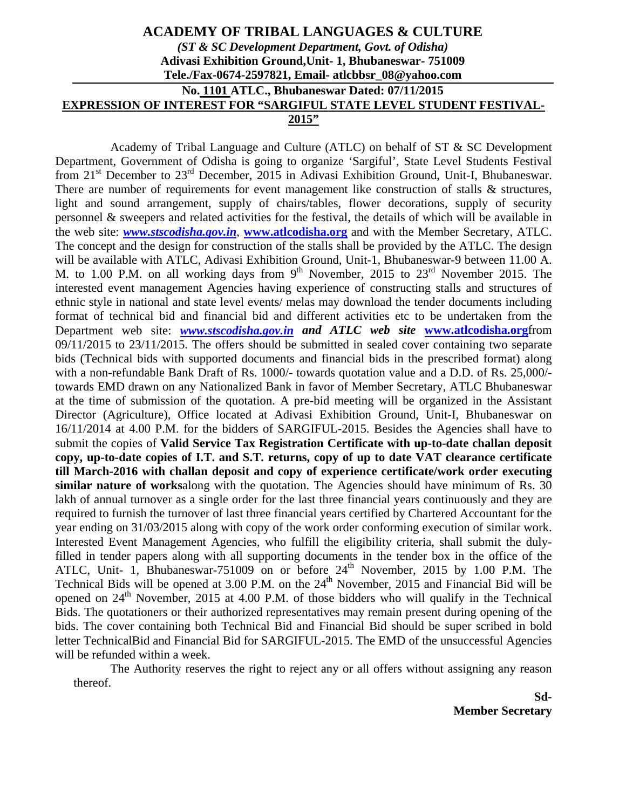## **ACADEMY OF TRIBAL LANGUAGES & CULTURE**  *(ST & SC Development Department, Govt. of Odisha)*  **Adivasi Exhibition Ground,Unit- 1, Bhubaneswar- 751009 Tele./Fax-0674-2597821, Email- atlcbbsr\_08@yahoo.com No. 1101 ATLC., Bhubaneswar Dated: 07/11/2015 EXPRESSION OF INTEREST FOR "SARGIFUL STATE LEVEL STUDENT FESTIVAL-2015"**

Academy of Tribal Language and Culture (ATLC) on behalf of ST & SC Development Department, Government of Odisha is going to organize 'Sargiful', State Level Students Festival from 21<sup>st</sup> December to 23<sup>rd</sup> December, 2015 in Adivasi Exhibition Ground, Unit-I, Bhubaneswar. There are number of requirements for event management like construction of stalls & structures, light and sound arrangement, supply of chairs/tables, flower decorations, supply of security personnel & sweepers and related activities for the festival, the details of which will be available in the web site: *www.stscodisha.gov.in*, **www.atlcodisha.org** and with the Member Secretary, ATLC. The concept and the design for construction of the stalls shall be provided by the ATLC. The design will be available with ATLC, Adivasi Exhibition Ground, Unit-1, Bhubaneswar-9 between 11.00 A. M. to 1.00 P.M. on all working days from  $9<sup>th</sup>$  November, 2015 to 23<sup>rd</sup> November 2015. The interested event management Agencies having experience of constructing stalls and structures of ethnic style in national and state level events/ melas may download the tender documents including format of technical bid and financial bid and different activities etc to be undertaken from the Department web site: *www.stscodisha.gov.in and ATLC web site* **www.atlcodisha.org**from 09/11/2015 to 23/11/2015. The offers should be submitted in sealed cover containing two separate bids (Technical bids with supported documents and financial bids in the prescribed format) along with a non-refundable Bank Draft of Rs. 1000/- towards quotation value and a D.D. of Rs. 25,000/ towards EMD drawn on any Nationalized Bank in favor of Member Secretary, ATLC Bhubaneswar at the time of submission of the quotation. A pre-bid meeting will be organized in the Assistant Director (Agriculture), Office located at Adivasi Exhibition Ground, Unit-I, Bhubaneswar on 16/11/2014 at 4.00 P.M. for the bidders of SARGIFUL-2015. Besides the Agencies shall have to submit the copies of **Valid Service Tax Registration Certificate with up-to-date challan deposit copy, up-to-date copies of I.T. and S.T. returns, copy of up to date VAT clearance certificate till March-2016 with challan deposit and copy of experience certificate/work order executing similar nature of works**along with the quotation. The Agencies should have minimum of Rs. 30 lakh of annual turnover as a single order for the last three financial years continuously and they are required to furnish the turnover of last three financial years certified by Chartered Accountant for the year ending on 31/03/2015 along with copy of the work order conforming execution of similar work. Interested Event Management Agencies, who fulfill the eligibility criteria, shall submit the dulyfilled in tender papers along with all supporting documents in the tender box in the office of the ATLC, Unit- 1, Bhubaneswar-751009 on or before  $24<sup>th</sup>$  November, 2015 by 1.00 P.M. The Technical Bids will be opened at  $3.00$  P.M. on the  $24<sup>th</sup>$  November,  $2015$  and Financial Bid will be opened on  $24<sup>th</sup>$  November, 2015 at 4.00 P.M. of those bidders who will qualify in the Technical Bids. The quotationers or their authorized representatives may remain present during opening of the bids. The cover containing both Technical Bid and Financial Bid should be super scribed in bold letter TechnicalBid and Financial Bid for SARGIFUL-2015. The EMD of the unsuccessful Agencies will be refunded within a week.

 The Authority reserves the right to reject any or all offers without assigning any reason thereof.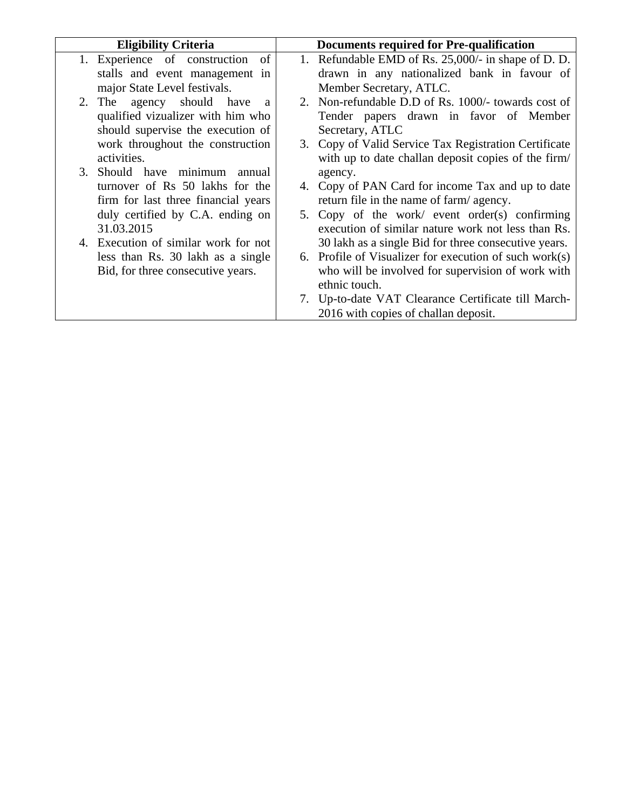| <b>Eligibility Criteria</b>               |  | Documents required for Pre-qualification               |
|-------------------------------------------|--|--------------------------------------------------------|
| 1. Experience of construction of          |  | 1. Refundable EMD of Rs. 25,000/- in shape of D. D.    |
| stalls and event management in            |  | drawn in any nationalized bank in favour of            |
| major State Level festivals.              |  | Member Secretary, ATLC.                                |
| 2. The agency should have<br><sub>a</sub> |  | 2. Non-refundable D.D of Rs. 1000/- towards cost of    |
| qualified vizualizer with him who         |  | Tender papers drawn in favor of Member                 |
| should supervise the execution of         |  | Secretary, ATLC                                        |
| work throughout the construction          |  | 3. Copy of Valid Service Tax Registration Certificate  |
| activities.                               |  | with up to date challan deposit copies of the firm/    |
| 3. Should have minimum<br>annual          |  | agency.                                                |
| turnover of Rs 50 lakhs for the           |  | 4. Copy of PAN Card for income Tax and up to date      |
| firm for last three financial years       |  | return file in the name of farm/agency.                |
| duly certified by C.A. ending on          |  | 5. Copy of the work/ event order(s) confirming         |
| 31.03.2015                                |  | execution of similar nature work not less than Rs.     |
| 4. Execution of similar work for not      |  | 30 lakh as a single Bid for three consecutive years.   |
| less than Rs. 30 lakh as a single         |  | 6. Profile of Visualizer for execution of such work(s) |
| Bid, for three consecutive years.         |  | who will be involved for supervision of work with      |
|                                           |  | ethnic touch.                                          |
|                                           |  | 7. Up-to-date VAT Clearance Certificate till March-    |
|                                           |  | 2016 with copies of challan deposit.                   |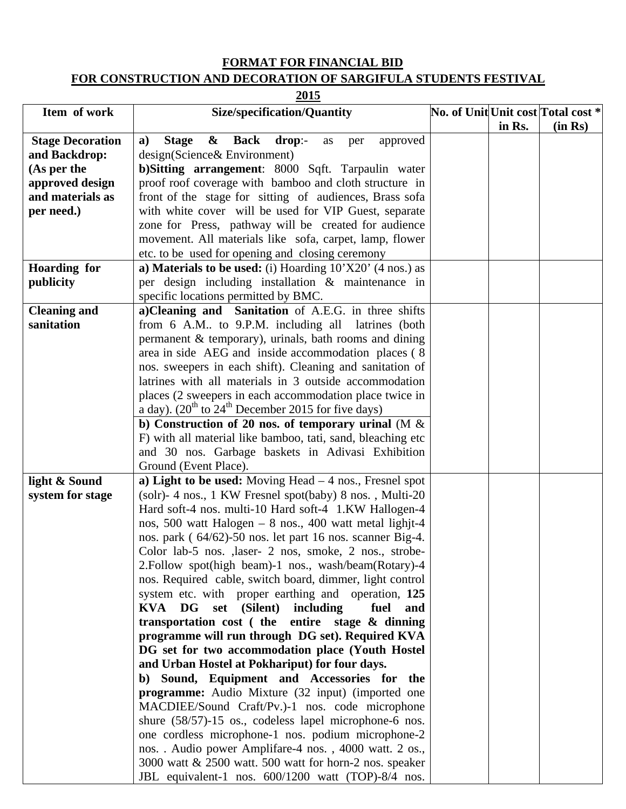## **FORMAT FOR FINANCIAL BID FOR CONSTRUCTION AND DECORATION OF SARGIFULA STUDENTS FESTIVAL**

**2015**

| Item of work            | <b>Size/specification/Quantity</b>                                                                   |        | No. of Unit Unit cost Total cost * |
|-------------------------|------------------------------------------------------------------------------------------------------|--------|------------------------------------|
|                         |                                                                                                      | in Rs. | (in Rs)                            |
| <b>Stage Decoration</b> | & Back<br>drop:<br>a)<br><b>Stage</b><br>approved<br>as<br>per                                       |        |                                    |
| and Backdrop:           | design(Science& Environment)                                                                         |        |                                    |
| (As per the             | b) Sitting arrangement: 8000 Sqft. Tarpaulin water                                                   |        |                                    |
| approved design         | proof roof coverage with bamboo and cloth structure in                                               |        |                                    |
| and materials as        | front of the stage for sitting of audiences, Brass sofa                                              |        |                                    |
| per need.)              | with white cover will be used for VIP Guest, separate                                                |        |                                    |
|                         | zone for Press, pathway will be created for audience                                                 |        |                                    |
|                         | movement. All materials like sofa, carpet, lamp, flower                                              |        |                                    |
|                         | etc. to be used for opening and closing ceremony                                                     |        |                                    |
| <b>Hoarding for</b>     | a) Materials to be used: (i) Hoarding $10^{\circ}X20^{\circ}$ (4 nos.) as                            |        |                                    |
| publicity               | per design including installation $\&$ maintenance in                                                |        |                                    |
|                         | specific locations permitted by BMC.                                                                 |        |                                    |
| <b>Cleaning and</b>     | a)Cleaning and Sanitation of A.E.G. in three shifts                                                  |        |                                    |
| sanitation              | from 6 A.M to 9.P.M. including all latrines (both                                                    |        |                                    |
|                         | permanent & temporary), urinals, bath rooms and dining                                               |        |                                    |
|                         | area in side AEG and inside accommodation places (8)                                                 |        |                                    |
|                         | nos. sweepers in each shift). Cleaning and sanitation of                                             |        |                                    |
|                         | latrines with all materials in 3 outside accommodation                                               |        |                                    |
|                         | places (2 sweepers in each accommodation place twice in                                              |        |                                    |
|                         | a day). $(20^{th}$ to $24^{th}$ December 2015 for five days)                                         |        |                                    |
|                         | b) Construction of 20 nos. of temporary urinal (M $\&$                                               |        |                                    |
|                         | F) with all material like bamboo, tati, sand, bleaching etc                                          |        |                                    |
|                         | and 30 nos. Garbage baskets in Adivasi Exhibition                                                    |        |                                    |
|                         | Ground (Event Place).                                                                                |        |                                    |
| light & Sound           | a) Light to be used: Moving Head $-4$ nos., Fresnel spot                                             |        |                                    |
| system for stage        | (solr)-4 nos., 1 KW Fresnel spot(baby) 8 nos., Multi-20                                              |        |                                    |
|                         | Hard soft-4 nos. multi-10 Hard soft-4 1.KW Hallogen-4                                                |        |                                    |
|                         | nos, 500 watt Halogen - 8 nos., 400 watt metal lighjt-4                                              |        |                                    |
|                         | nos. park (64/62)-50 nos. let part 16 nos. scanner Big-4.                                            |        |                                    |
|                         | Color lab-5 nos. , laser- 2 nos, smoke, 2 nos., strobe-                                              |        |                                    |
|                         | 2. Follow spot(high beam)-1 nos., wash/beam(Rotary)-4                                                |        |                                    |
|                         | nos. Required cable, switch board, dimmer, light control                                             |        |                                    |
|                         | system etc. with proper earthing and operation, 125                                                  |        |                                    |
|                         | KVA DG set (Silent) including<br>fuel<br>and                                                         |        |                                    |
|                         | transportation cost (the entire stage & dinning                                                      |        |                                    |
|                         | programme will run through DG set). Required KVA<br>DG set for two accommodation place (Youth Hostel |        |                                    |
|                         | and Urban Hostel at Pokhariput) for four days.                                                       |        |                                    |
|                         | b) Sound, Equipment and Accessories for the                                                          |        |                                    |
|                         | <b>programme:</b> Audio Mixture (32 input) (imported one                                             |        |                                    |
|                         | MACDIEE/Sound Craft/Pv.)-1 nos. code microphone                                                      |        |                                    |
|                         | shure (58/57)-15 os., codeless lapel microphone-6 nos.                                               |        |                                    |
|                         | one cordless microphone-1 nos. podium microphone-2                                                   |        |                                    |
|                         | nos. . Audio power Amplifare-4 nos., 4000 watt. 2 os.,                                               |        |                                    |
|                         | 3000 watt & 2500 watt. 500 watt for horn-2 nos. speaker                                              |        |                                    |
|                         | JBL equivalent-1 nos. 600/1200 watt (TOP)-8/4 nos.                                                   |        |                                    |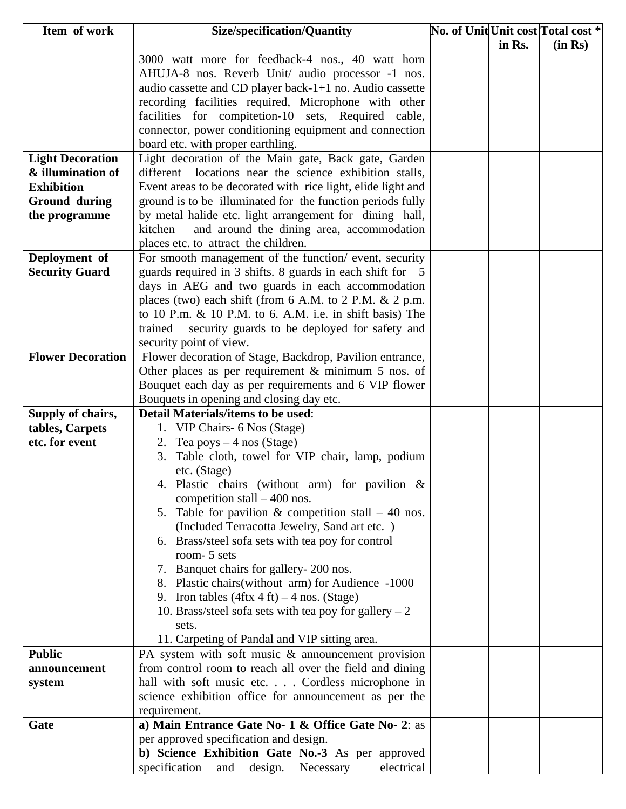| Item of work                         | <b>Size/specification/Quantity</b>                                                         |        | No. of Unit Unit cost Total cost * |
|--------------------------------------|--------------------------------------------------------------------------------------------|--------|------------------------------------|
|                                      |                                                                                            | in Rs. | (in Rs)                            |
|                                      | 3000 watt more for feedback-4 nos., 40 watt horn                                           |        |                                    |
|                                      | AHUJA-8 nos. Reverb Unit/ audio processor -1 nos.                                          |        |                                    |
|                                      | audio cassette and CD player back-1+1 no. Audio cassette                                   |        |                                    |
|                                      | recording facilities required, Microphone with other                                       |        |                                    |
|                                      | facilities for compitetion-10 sets, Required cable,                                        |        |                                    |
|                                      | connector, power conditioning equipment and connection                                     |        |                                    |
|                                      | board etc. with proper earthling.                                                          |        |                                    |
| <b>Light Decoration</b>              | Light decoration of the Main gate, Back gate, Garden                                       |        |                                    |
| & illumination of                    | different locations near the science exhibition stalls,                                    |        |                                    |
| <b>Exhibition</b>                    | Event areas to be decorated with rice light, elide light and                               |        |                                    |
| <b>Ground during</b>                 | ground is to be illuminated for the function periods fully                                 |        |                                    |
| the programme                        | by metal halide etc. light arrangement for dining hall,                                    |        |                                    |
|                                      | and around the dining area, accommodation<br>kitchen                                       |        |                                    |
|                                      | places etc. to attract the children.                                                       |        |                                    |
| Deployment of                        | For smooth management of the function/ event, security                                     |        |                                    |
| <b>Security Guard</b>                | guards required in 3 shifts. 8 guards in each shift for 5                                  |        |                                    |
|                                      | days in AEG and two guards in each accommodation                                           |        |                                    |
|                                      | places (two) each shift (from $6$ A.M. to $2$ P.M. $\& 2$ p.m.                             |        |                                    |
|                                      | to 10 P.m. $\&$ 10 P.M. to 6. A.M. i.e. in shift basis) The                                |        |                                    |
|                                      | trained<br>security guards to be deployed for safety and                                   |        |                                    |
|                                      | security point of view.                                                                    |        |                                    |
| <b>Flower Decoration</b>             | Flower decoration of Stage, Backdrop, Pavilion entrance,                                   |        |                                    |
|                                      | Other places as per requirement $&$ minimum 5 nos. of                                      |        |                                    |
|                                      | Bouquet each day as per requirements and 6 VIP flower                                      |        |                                    |
|                                      | Bouquets in opening and closing day etc.<br><b>Detail Materials/items to be used:</b>      |        |                                    |
| Supply of chairs,<br>tables, Carpets | 1. VIP Chairs- 6 Nos (Stage)                                                               |        |                                    |
| etc. for event                       | 2. Tea poys $-4$ nos (Stage)                                                               |        |                                    |
|                                      | Table cloth, towel for VIP chair, lamp, podium<br>3.                                       |        |                                    |
|                                      | etc. (Stage)                                                                               |        |                                    |
|                                      | 4. Plastic chairs (without arm) for pavilion $\&$                                          |        |                                    |
|                                      | competition stall $-400$ nos.                                                              |        |                                    |
|                                      | 5. Table for pavilion $\&$ competition stall – 40 nos.                                     |        |                                    |
|                                      | (Included Terracotta Jewelry, Sand art etc.)                                               |        |                                    |
|                                      | 6. Brass/steel sofa sets with tea poy for control                                          |        |                                    |
|                                      | room- 5 sets                                                                               |        |                                    |
|                                      | 7. Banquet chairs for gallery- 200 nos.                                                    |        |                                    |
|                                      | 8. Plastic chairs (without arm) for Audience -1000                                         |        |                                    |
|                                      | 9. Iron tables $(4 \text{ftx } 4 \text{ ft}) - 4 \text{ nos.}$ (Stage)                     |        |                                    |
|                                      | 10. Brass/steel sofa sets with tea poy for gallery $-2$                                    |        |                                    |
|                                      | sets.                                                                                      |        |                                    |
|                                      | 11. Carpeting of Pandal and VIP sitting area.                                              |        |                                    |
| <b>Public</b>                        | PA system with soft music $\&$ announcement provision                                      |        |                                    |
| announcement                         | from control room to reach all over the field and dining                                   |        |                                    |
| system                               | hall with soft music etc. Cordless microphone in                                           |        |                                    |
|                                      | science exhibition office for announcement as per the                                      |        |                                    |
|                                      | requirement.                                                                               |        |                                    |
| Gate                                 | a) Main Entrance Gate No- 1 & Office Gate No- 2: as                                        |        |                                    |
|                                      | per approved specification and design.<br>b) Science Exhibition Gate No.-3 As per approved |        |                                    |
|                                      | specification<br>electrical<br>and design. Necessary                                       |        |                                    |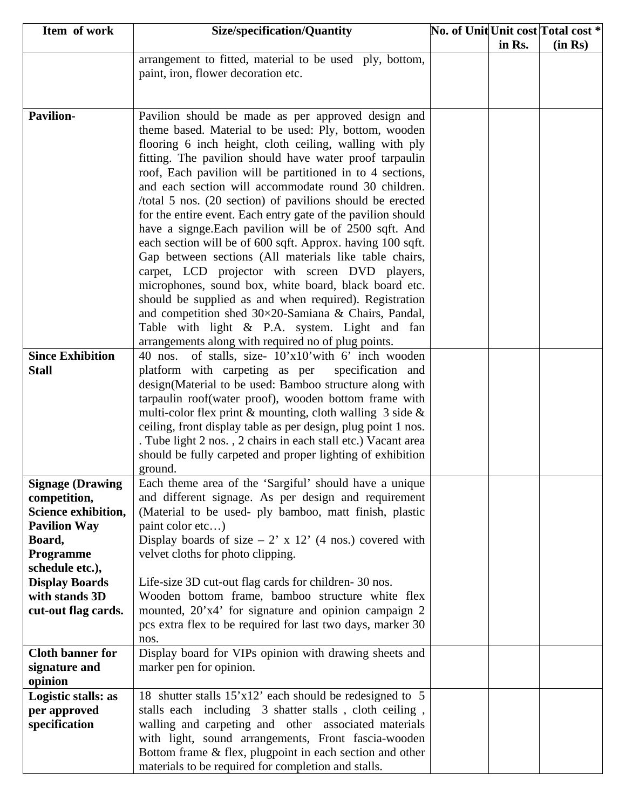| Item of work            | <b>Size/specification/Quantity</b>                                                                      |        | No. of Unit Unit cost Total cost * |
|-------------------------|---------------------------------------------------------------------------------------------------------|--------|------------------------------------|
|                         |                                                                                                         | in Rs. | (in Rs)                            |
|                         | arrangement to fitted, material to be used ply, bottom,                                                 |        |                                    |
|                         | paint, iron, flower decoration etc.                                                                     |        |                                    |
|                         |                                                                                                         |        |                                    |
|                         |                                                                                                         |        |                                    |
| <b>Pavilion-</b>        | Pavilion should be made as per approved design and                                                      |        |                                    |
|                         | theme based. Material to be used: Ply, bottom, wooden                                                   |        |                                    |
|                         | flooring 6 inch height, cloth ceiling, walling with ply                                                 |        |                                    |
|                         | fitting. The pavilion should have water proof tarpaulin                                                 |        |                                    |
|                         | roof, Each pavilion will be partitioned in to 4 sections,                                               |        |                                    |
|                         | and each section will accommodate round 30 children.                                                    |        |                                    |
|                         | /total 5 nos. (20 section) of pavilions should be erected                                               |        |                                    |
|                         | for the entire event. Each entry gate of the pavilion should                                            |        |                                    |
|                         | have a signge. Each pavilion will be of 2500 sqft. And                                                  |        |                                    |
|                         | each section will be of 600 sqft. Approx. having 100 sqft.                                              |        |                                    |
|                         | Gap between sections (All materials like table chairs,                                                  |        |                                    |
|                         | carpet, LCD projector with screen DVD players,<br>microphones, sound box, white board, black board etc. |        |                                    |
|                         | should be supplied as and when required). Registration                                                  |        |                                    |
|                         | and competition shed 30×20-Samiana & Chairs, Pandal,                                                    |        |                                    |
|                         | Table with light & P.A. system. Light and fan                                                           |        |                                    |
|                         | arrangements along with required no of plug points.                                                     |        |                                    |
| <b>Since Exhibition</b> | of stalls, size- 10'x10' with 6' inch wooden<br>$40$ nos.                                               |        |                                    |
| <b>Stall</b>            | platform with carpeting as per<br>specification and                                                     |        |                                    |
|                         | design(Material to be used: Bamboo structure along with                                                 |        |                                    |
|                         | tarpaulin roof(water proof), wooden bottom frame with                                                   |        |                                    |
|                         | multi-color flex print $\&$ mounting, cloth walling 3 side $\&$                                         |        |                                    |
|                         | ceiling, front display table as per design, plug point 1 nos.                                           |        |                                    |
|                         | . Tube light 2 nos., 2 chairs in each stall etc.) Vacant area                                           |        |                                    |
|                         | should be fully carpeted and proper lighting of exhibition                                              |        |                                    |
|                         | ground.                                                                                                 |        |                                    |
| <b>Signage (Drawing</b> | Each theme area of the 'Sargiful' should have a unique                                                  |        |                                    |
| competition,            | and different signage. As per design and requirement                                                    |        |                                    |
| Science exhibition,     | (Material to be used- ply bamboo, matt finish, plastic                                                  |        |                                    |
| <b>Pavilion Way</b>     | paint color etc)                                                                                        |        |                                    |
| Board,                  | Display boards of size $-2$ ' x 12' (4 nos.) covered with                                               |        |                                    |
| Programme               | velvet cloths for photo clipping.                                                                       |        |                                    |
| schedule etc.),         |                                                                                                         |        |                                    |
| <b>Display Boards</b>   | Life-size 3D cut-out flag cards for children-30 nos.                                                    |        |                                    |
| with stands 3D          | Wooden bottom frame, bamboo structure white flex                                                        |        |                                    |
| cut-out flag cards.     | mounted, 20'x4' for signature and opinion campaign 2                                                    |        |                                    |
|                         | pcs extra flex to be required for last two days, marker 30                                              |        |                                    |
| <b>Cloth banner for</b> | nos.<br>Display board for VIPs opinion with drawing sheets and                                          |        |                                    |
| signature and           | marker pen for opinion.                                                                                 |        |                                    |
| opinion                 |                                                                                                         |        |                                    |
| Logistic stalls: as     | 18 shutter stalls 15'x12' each should be redesigned to 5                                                |        |                                    |
| per approved            | stalls each including 3 shatter stalls, cloth ceiling,                                                  |        |                                    |
| specification           | walling and carpeting and other associated materials                                                    |        |                                    |
|                         | with light, sound arrangements, Front fascia-wooden                                                     |        |                                    |
|                         | Bottom frame & flex, plugpoint in each section and other                                                |        |                                    |
|                         | materials to be required for completion and stalls.                                                     |        |                                    |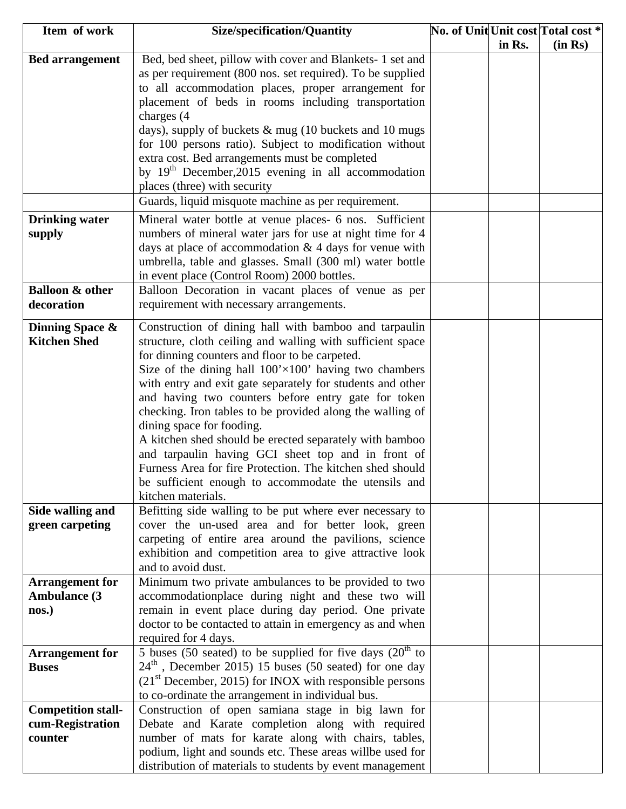| in Rs.<br>(in Rs)<br>Bed, bed sheet, pillow with cover and Blankets- 1 set and<br><b>Bed arrangement</b><br>as per requirement (800 nos. set required). To be supplied<br>to all accommodation places, proper arrangement for<br>placement of beds in rooms including transportation<br>charges (4)<br>days), supply of buckets $\&$ mug (10 buckets and 10 mugs<br>for 100 persons ratio). Subject to modification without<br>extra cost. Bed arrangements must be completed<br>by 19 <sup>th</sup> December, 2015 evening in all accommodation<br>places (three) with security<br>Guards, liquid misquote machine as per requirement.<br><b>Drinking water</b><br>Mineral water bottle at venue places- 6 nos. Sufficient<br>numbers of mineral water jars for use at night time for 4<br>supply<br>days at place of accommodation $& 4$ days for venue with<br>umbrella, table and glasses. Small (300 ml) water bottle<br>in event place (Control Room) 2000 bottles.<br><b>Balloon &amp; other</b><br>Balloon Decoration in vacant places of venue as per<br>requirement with necessary arrangements.<br>decoration<br>Construction of dining hall with bamboo and tarpaulin<br>Dinning Space &<br><b>Kitchen Shed</b><br>structure, cloth ceiling and walling with sufficient space<br>for dinning counters and floor to be carpeted.<br>Size of the dining hall $100' \times 100'$ having two chambers<br>with entry and exit gate separately for students and other<br>and having two counters before entry gate for token<br>checking. Iron tables to be provided along the walling of<br>dining space for fooding.<br>A kitchen shed should be erected separately with bamboo<br>and tarpaulin having GCI sheet top and in front of<br>Furness Area for fire Protection. The kitchen shed should<br>be sufficient enough to accommodate the utensils and<br>kitchen materials.<br>Side walling and<br>Befitting side walling to be put where ever necessary to<br>green carpeting<br>cover the un-used area and for better look, green<br>carpeting of entire area around the pavilions, science<br>exhibition and competition area to give attractive look<br>and to avoid dust.<br>Minimum two private ambulances to be provided to two<br><b>Arrangement</b> for<br>accommodationplace during night and these two will<br><b>Ambulance (3</b><br>remain in event place during day period. One private<br>nos.)<br>doctor to be contacted to attain in emergency as and when<br>required for 4 days.<br>5 buses (50 seated) to be supplied for five days $(20th$ to<br><b>Arrangement for</b><br>$24th$ , December 2015) 15 buses (50 seated) for one day<br><b>Buses</b><br>$(21st December, 2015)$ for INOX with responsible persons<br>to co-ordinate the arrangement in individual bus.<br>Construction of open samiana stage in big lawn for<br><b>Competition stall-</b><br>cum-Registration<br>Debate and Karate completion along with required | Item of work | <b>Size/specification/Quantity</b>                   |  | No. of Unit Unit cost Total cost * |
|--------------------------------------------------------------------------------------------------------------------------------------------------------------------------------------------------------------------------------------------------------------------------------------------------------------------------------------------------------------------------------------------------------------------------------------------------------------------------------------------------------------------------------------------------------------------------------------------------------------------------------------------------------------------------------------------------------------------------------------------------------------------------------------------------------------------------------------------------------------------------------------------------------------------------------------------------------------------------------------------------------------------------------------------------------------------------------------------------------------------------------------------------------------------------------------------------------------------------------------------------------------------------------------------------------------------------------------------------------------------------------------------------------------------------------------------------------------------------------------------------------------------------------------------------------------------------------------------------------------------------------------------------------------------------------------------------------------------------------------------------------------------------------------------------------------------------------------------------------------------------------------------------------------------------------------------------------------------------------------------------------------------------------------------------------------------------------------------------------------------------------------------------------------------------------------------------------------------------------------------------------------------------------------------------------------------------------------------------------------------------------------------------------------------------------------------------------------------------------------------------------------------------------------------------------------------------------------------------------------------------------------------------------------------------------------------------------------------------------------------------------------------------------------------------------------------------------------------------------------------------------------------------------------------------------------------------------------------|--------------|------------------------------------------------------|--|------------------------------------|
|                                                                                                                                                                                                                                                                                                                                                                                                                                                                                                                                                                                                                                                                                                                                                                                                                                                                                                                                                                                                                                                                                                                                                                                                                                                                                                                                                                                                                                                                                                                                                                                                                                                                                                                                                                                                                                                                                                                                                                                                                                                                                                                                                                                                                                                                                                                                                                                                                                                                                                                                                                                                                                                                                                                                                                                                                                                                                                                                                                    |              |                                                      |  |                                    |
|                                                                                                                                                                                                                                                                                                                                                                                                                                                                                                                                                                                                                                                                                                                                                                                                                                                                                                                                                                                                                                                                                                                                                                                                                                                                                                                                                                                                                                                                                                                                                                                                                                                                                                                                                                                                                                                                                                                                                                                                                                                                                                                                                                                                                                                                                                                                                                                                                                                                                                                                                                                                                                                                                                                                                                                                                                                                                                                                                                    |              |                                                      |  |                                    |
|                                                                                                                                                                                                                                                                                                                                                                                                                                                                                                                                                                                                                                                                                                                                                                                                                                                                                                                                                                                                                                                                                                                                                                                                                                                                                                                                                                                                                                                                                                                                                                                                                                                                                                                                                                                                                                                                                                                                                                                                                                                                                                                                                                                                                                                                                                                                                                                                                                                                                                                                                                                                                                                                                                                                                                                                                                                                                                                                                                    |              |                                                      |  |                                    |
|                                                                                                                                                                                                                                                                                                                                                                                                                                                                                                                                                                                                                                                                                                                                                                                                                                                                                                                                                                                                                                                                                                                                                                                                                                                                                                                                                                                                                                                                                                                                                                                                                                                                                                                                                                                                                                                                                                                                                                                                                                                                                                                                                                                                                                                                                                                                                                                                                                                                                                                                                                                                                                                                                                                                                                                                                                                                                                                                                                    |              |                                                      |  |                                    |
|                                                                                                                                                                                                                                                                                                                                                                                                                                                                                                                                                                                                                                                                                                                                                                                                                                                                                                                                                                                                                                                                                                                                                                                                                                                                                                                                                                                                                                                                                                                                                                                                                                                                                                                                                                                                                                                                                                                                                                                                                                                                                                                                                                                                                                                                                                                                                                                                                                                                                                                                                                                                                                                                                                                                                                                                                                                                                                                                                                    |              |                                                      |  |                                    |
|                                                                                                                                                                                                                                                                                                                                                                                                                                                                                                                                                                                                                                                                                                                                                                                                                                                                                                                                                                                                                                                                                                                                                                                                                                                                                                                                                                                                                                                                                                                                                                                                                                                                                                                                                                                                                                                                                                                                                                                                                                                                                                                                                                                                                                                                                                                                                                                                                                                                                                                                                                                                                                                                                                                                                                                                                                                                                                                                                                    |              |                                                      |  |                                    |
|                                                                                                                                                                                                                                                                                                                                                                                                                                                                                                                                                                                                                                                                                                                                                                                                                                                                                                                                                                                                                                                                                                                                                                                                                                                                                                                                                                                                                                                                                                                                                                                                                                                                                                                                                                                                                                                                                                                                                                                                                                                                                                                                                                                                                                                                                                                                                                                                                                                                                                                                                                                                                                                                                                                                                                                                                                                                                                                                                                    |              |                                                      |  |                                    |
|                                                                                                                                                                                                                                                                                                                                                                                                                                                                                                                                                                                                                                                                                                                                                                                                                                                                                                                                                                                                                                                                                                                                                                                                                                                                                                                                                                                                                                                                                                                                                                                                                                                                                                                                                                                                                                                                                                                                                                                                                                                                                                                                                                                                                                                                                                                                                                                                                                                                                                                                                                                                                                                                                                                                                                                                                                                                                                                                                                    |              |                                                      |  |                                    |
|                                                                                                                                                                                                                                                                                                                                                                                                                                                                                                                                                                                                                                                                                                                                                                                                                                                                                                                                                                                                                                                                                                                                                                                                                                                                                                                                                                                                                                                                                                                                                                                                                                                                                                                                                                                                                                                                                                                                                                                                                                                                                                                                                                                                                                                                                                                                                                                                                                                                                                                                                                                                                                                                                                                                                                                                                                                                                                                                                                    |              |                                                      |  |                                    |
|                                                                                                                                                                                                                                                                                                                                                                                                                                                                                                                                                                                                                                                                                                                                                                                                                                                                                                                                                                                                                                                                                                                                                                                                                                                                                                                                                                                                                                                                                                                                                                                                                                                                                                                                                                                                                                                                                                                                                                                                                                                                                                                                                                                                                                                                                                                                                                                                                                                                                                                                                                                                                                                                                                                                                                                                                                                                                                                                                                    |              |                                                      |  |                                    |
|                                                                                                                                                                                                                                                                                                                                                                                                                                                                                                                                                                                                                                                                                                                                                                                                                                                                                                                                                                                                                                                                                                                                                                                                                                                                                                                                                                                                                                                                                                                                                                                                                                                                                                                                                                                                                                                                                                                                                                                                                                                                                                                                                                                                                                                                                                                                                                                                                                                                                                                                                                                                                                                                                                                                                                                                                                                                                                                                                                    |              |                                                      |  |                                    |
|                                                                                                                                                                                                                                                                                                                                                                                                                                                                                                                                                                                                                                                                                                                                                                                                                                                                                                                                                                                                                                                                                                                                                                                                                                                                                                                                                                                                                                                                                                                                                                                                                                                                                                                                                                                                                                                                                                                                                                                                                                                                                                                                                                                                                                                                                                                                                                                                                                                                                                                                                                                                                                                                                                                                                                                                                                                                                                                                                                    |              |                                                      |  |                                    |
|                                                                                                                                                                                                                                                                                                                                                                                                                                                                                                                                                                                                                                                                                                                                                                                                                                                                                                                                                                                                                                                                                                                                                                                                                                                                                                                                                                                                                                                                                                                                                                                                                                                                                                                                                                                                                                                                                                                                                                                                                                                                                                                                                                                                                                                                                                                                                                                                                                                                                                                                                                                                                                                                                                                                                                                                                                                                                                                                                                    |              |                                                      |  |                                    |
|                                                                                                                                                                                                                                                                                                                                                                                                                                                                                                                                                                                                                                                                                                                                                                                                                                                                                                                                                                                                                                                                                                                                                                                                                                                                                                                                                                                                                                                                                                                                                                                                                                                                                                                                                                                                                                                                                                                                                                                                                                                                                                                                                                                                                                                                                                                                                                                                                                                                                                                                                                                                                                                                                                                                                                                                                                                                                                                                                                    |              |                                                      |  |                                    |
|                                                                                                                                                                                                                                                                                                                                                                                                                                                                                                                                                                                                                                                                                                                                                                                                                                                                                                                                                                                                                                                                                                                                                                                                                                                                                                                                                                                                                                                                                                                                                                                                                                                                                                                                                                                                                                                                                                                                                                                                                                                                                                                                                                                                                                                                                                                                                                                                                                                                                                                                                                                                                                                                                                                                                                                                                                                                                                                                                                    |              |                                                      |  |                                    |
|                                                                                                                                                                                                                                                                                                                                                                                                                                                                                                                                                                                                                                                                                                                                                                                                                                                                                                                                                                                                                                                                                                                                                                                                                                                                                                                                                                                                                                                                                                                                                                                                                                                                                                                                                                                                                                                                                                                                                                                                                                                                                                                                                                                                                                                                                                                                                                                                                                                                                                                                                                                                                                                                                                                                                                                                                                                                                                                                                                    |              |                                                      |  |                                    |
|                                                                                                                                                                                                                                                                                                                                                                                                                                                                                                                                                                                                                                                                                                                                                                                                                                                                                                                                                                                                                                                                                                                                                                                                                                                                                                                                                                                                                                                                                                                                                                                                                                                                                                                                                                                                                                                                                                                                                                                                                                                                                                                                                                                                                                                                                                                                                                                                                                                                                                                                                                                                                                                                                                                                                                                                                                                                                                                                                                    |              |                                                      |  |                                    |
|                                                                                                                                                                                                                                                                                                                                                                                                                                                                                                                                                                                                                                                                                                                                                                                                                                                                                                                                                                                                                                                                                                                                                                                                                                                                                                                                                                                                                                                                                                                                                                                                                                                                                                                                                                                                                                                                                                                                                                                                                                                                                                                                                                                                                                                                                                                                                                                                                                                                                                                                                                                                                                                                                                                                                                                                                                                                                                                                                                    |              |                                                      |  |                                    |
|                                                                                                                                                                                                                                                                                                                                                                                                                                                                                                                                                                                                                                                                                                                                                                                                                                                                                                                                                                                                                                                                                                                                                                                                                                                                                                                                                                                                                                                                                                                                                                                                                                                                                                                                                                                                                                                                                                                                                                                                                                                                                                                                                                                                                                                                                                                                                                                                                                                                                                                                                                                                                                                                                                                                                                                                                                                                                                                                                                    |              |                                                      |  |                                    |
|                                                                                                                                                                                                                                                                                                                                                                                                                                                                                                                                                                                                                                                                                                                                                                                                                                                                                                                                                                                                                                                                                                                                                                                                                                                                                                                                                                                                                                                                                                                                                                                                                                                                                                                                                                                                                                                                                                                                                                                                                                                                                                                                                                                                                                                                                                                                                                                                                                                                                                                                                                                                                                                                                                                                                                                                                                                                                                                                                                    |              |                                                      |  |                                    |
|                                                                                                                                                                                                                                                                                                                                                                                                                                                                                                                                                                                                                                                                                                                                                                                                                                                                                                                                                                                                                                                                                                                                                                                                                                                                                                                                                                                                                                                                                                                                                                                                                                                                                                                                                                                                                                                                                                                                                                                                                                                                                                                                                                                                                                                                                                                                                                                                                                                                                                                                                                                                                                                                                                                                                                                                                                                                                                                                                                    |              |                                                      |  |                                    |
|                                                                                                                                                                                                                                                                                                                                                                                                                                                                                                                                                                                                                                                                                                                                                                                                                                                                                                                                                                                                                                                                                                                                                                                                                                                                                                                                                                                                                                                                                                                                                                                                                                                                                                                                                                                                                                                                                                                                                                                                                                                                                                                                                                                                                                                                                                                                                                                                                                                                                                                                                                                                                                                                                                                                                                                                                                                                                                                                                                    |              |                                                      |  |                                    |
|                                                                                                                                                                                                                                                                                                                                                                                                                                                                                                                                                                                                                                                                                                                                                                                                                                                                                                                                                                                                                                                                                                                                                                                                                                                                                                                                                                                                                                                                                                                                                                                                                                                                                                                                                                                                                                                                                                                                                                                                                                                                                                                                                                                                                                                                                                                                                                                                                                                                                                                                                                                                                                                                                                                                                                                                                                                                                                                                                                    |              |                                                      |  |                                    |
|                                                                                                                                                                                                                                                                                                                                                                                                                                                                                                                                                                                                                                                                                                                                                                                                                                                                                                                                                                                                                                                                                                                                                                                                                                                                                                                                                                                                                                                                                                                                                                                                                                                                                                                                                                                                                                                                                                                                                                                                                                                                                                                                                                                                                                                                                                                                                                                                                                                                                                                                                                                                                                                                                                                                                                                                                                                                                                                                                                    |              |                                                      |  |                                    |
|                                                                                                                                                                                                                                                                                                                                                                                                                                                                                                                                                                                                                                                                                                                                                                                                                                                                                                                                                                                                                                                                                                                                                                                                                                                                                                                                                                                                                                                                                                                                                                                                                                                                                                                                                                                                                                                                                                                                                                                                                                                                                                                                                                                                                                                                                                                                                                                                                                                                                                                                                                                                                                                                                                                                                                                                                                                                                                                                                                    |              |                                                      |  |                                    |
|                                                                                                                                                                                                                                                                                                                                                                                                                                                                                                                                                                                                                                                                                                                                                                                                                                                                                                                                                                                                                                                                                                                                                                                                                                                                                                                                                                                                                                                                                                                                                                                                                                                                                                                                                                                                                                                                                                                                                                                                                                                                                                                                                                                                                                                                                                                                                                                                                                                                                                                                                                                                                                                                                                                                                                                                                                                                                                                                                                    |              |                                                      |  |                                    |
|                                                                                                                                                                                                                                                                                                                                                                                                                                                                                                                                                                                                                                                                                                                                                                                                                                                                                                                                                                                                                                                                                                                                                                                                                                                                                                                                                                                                                                                                                                                                                                                                                                                                                                                                                                                                                                                                                                                                                                                                                                                                                                                                                                                                                                                                                                                                                                                                                                                                                                                                                                                                                                                                                                                                                                                                                                                                                                                                                                    |              |                                                      |  |                                    |
|                                                                                                                                                                                                                                                                                                                                                                                                                                                                                                                                                                                                                                                                                                                                                                                                                                                                                                                                                                                                                                                                                                                                                                                                                                                                                                                                                                                                                                                                                                                                                                                                                                                                                                                                                                                                                                                                                                                                                                                                                                                                                                                                                                                                                                                                                                                                                                                                                                                                                                                                                                                                                                                                                                                                                                                                                                                                                                                                                                    |              |                                                      |  |                                    |
|                                                                                                                                                                                                                                                                                                                                                                                                                                                                                                                                                                                                                                                                                                                                                                                                                                                                                                                                                                                                                                                                                                                                                                                                                                                                                                                                                                                                                                                                                                                                                                                                                                                                                                                                                                                                                                                                                                                                                                                                                                                                                                                                                                                                                                                                                                                                                                                                                                                                                                                                                                                                                                                                                                                                                                                                                                                                                                                                                                    |              |                                                      |  |                                    |
|                                                                                                                                                                                                                                                                                                                                                                                                                                                                                                                                                                                                                                                                                                                                                                                                                                                                                                                                                                                                                                                                                                                                                                                                                                                                                                                                                                                                                                                                                                                                                                                                                                                                                                                                                                                                                                                                                                                                                                                                                                                                                                                                                                                                                                                                                                                                                                                                                                                                                                                                                                                                                                                                                                                                                                                                                                                                                                                                                                    |              |                                                      |  |                                    |
|                                                                                                                                                                                                                                                                                                                                                                                                                                                                                                                                                                                                                                                                                                                                                                                                                                                                                                                                                                                                                                                                                                                                                                                                                                                                                                                                                                                                                                                                                                                                                                                                                                                                                                                                                                                                                                                                                                                                                                                                                                                                                                                                                                                                                                                                                                                                                                                                                                                                                                                                                                                                                                                                                                                                                                                                                                                                                                                                                                    |              |                                                      |  |                                    |
|                                                                                                                                                                                                                                                                                                                                                                                                                                                                                                                                                                                                                                                                                                                                                                                                                                                                                                                                                                                                                                                                                                                                                                                                                                                                                                                                                                                                                                                                                                                                                                                                                                                                                                                                                                                                                                                                                                                                                                                                                                                                                                                                                                                                                                                                                                                                                                                                                                                                                                                                                                                                                                                                                                                                                                                                                                                                                                                                                                    |              |                                                      |  |                                    |
|                                                                                                                                                                                                                                                                                                                                                                                                                                                                                                                                                                                                                                                                                                                                                                                                                                                                                                                                                                                                                                                                                                                                                                                                                                                                                                                                                                                                                                                                                                                                                                                                                                                                                                                                                                                                                                                                                                                                                                                                                                                                                                                                                                                                                                                                                                                                                                                                                                                                                                                                                                                                                                                                                                                                                                                                                                                                                                                                                                    |              |                                                      |  |                                    |
|                                                                                                                                                                                                                                                                                                                                                                                                                                                                                                                                                                                                                                                                                                                                                                                                                                                                                                                                                                                                                                                                                                                                                                                                                                                                                                                                                                                                                                                                                                                                                                                                                                                                                                                                                                                                                                                                                                                                                                                                                                                                                                                                                                                                                                                                                                                                                                                                                                                                                                                                                                                                                                                                                                                                                                                                                                                                                                                                                                    |              |                                                      |  |                                    |
|                                                                                                                                                                                                                                                                                                                                                                                                                                                                                                                                                                                                                                                                                                                                                                                                                                                                                                                                                                                                                                                                                                                                                                                                                                                                                                                                                                                                                                                                                                                                                                                                                                                                                                                                                                                                                                                                                                                                                                                                                                                                                                                                                                                                                                                                                                                                                                                                                                                                                                                                                                                                                                                                                                                                                                                                                                                                                                                                                                    |              |                                                      |  |                                    |
|                                                                                                                                                                                                                                                                                                                                                                                                                                                                                                                                                                                                                                                                                                                                                                                                                                                                                                                                                                                                                                                                                                                                                                                                                                                                                                                                                                                                                                                                                                                                                                                                                                                                                                                                                                                                                                                                                                                                                                                                                                                                                                                                                                                                                                                                                                                                                                                                                                                                                                                                                                                                                                                                                                                                                                                                                                                                                                                                                                    |              |                                                      |  |                                    |
|                                                                                                                                                                                                                                                                                                                                                                                                                                                                                                                                                                                                                                                                                                                                                                                                                                                                                                                                                                                                                                                                                                                                                                                                                                                                                                                                                                                                                                                                                                                                                                                                                                                                                                                                                                                                                                                                                                                                                                                                                                                                                                                                                                                                                                                                                                                                                                                                                                                                                                                                                                                                                                                                                                                                                                                                                                                                                                                                                                    |              |                                                      |  |                                    |
|                                                                                                                                                                                                                                                                                                                                                                                                                                                                                                                                                                                                                                                                                                                                                                                                                                                                                                                                                                                                                                                                                                                                                                                                                                                                                                                                                                                                                                                                                                                                                                                                                                                                                                                                                                                                                                                                                                                                                                                                                                                                                                                                                                                                                                                                                                                                                                                                                                                                                                                                                                                                                                                                                                                                                                                                                                                                                                                                                                    |              |                                                      |  |                                    |
|                                                                                                                                                                                                                                                                                                                                                                                                                                                                                                                                                                                                                                                                                                                                                                                                                                                                                                                                                                                                                                                                                                                                                                                                                                                                                                                                                                                                                                                                                                                                                                                                                                                                                                                                                                                                                                                                                                                                                                                                                                                                                                                                                                                                                                                                                                                                                                                                                                                                                                                                                                                                                                                                                                                                                                                                                                                                                                                                                                    |              |                                                      |  |                                    |
|                                                                                                                                                                                                                                                                                                                                                                                                                                                                                                                                                                                                                                                                                                                                                                                                                                                                                                                                                                                                                                                                                                                                                                                                                                                                                                                                                                                                                                                                                                                                                                                                                                                                                                                                                                                                                                                                                                                                                                                                                                                                                                                                                                                                                                                                                                                                                                                                                                                                                                                                                                                                                                                                                                                                                                                                                                                                                                                                                                    |              |                                                      |  |                                    |
|                                                                                                                                                                                                                                                                                                                                                                                                                                                                                                                                                                                                                                                                                                                                                                                                                                                                                                                                                                                                                                                                                                                                                                                                                                                                                                                                                                                                                                                                                                                                                                                                                                                                                                                                                                                                                                                                                                                                                                                                                                                                                                                                                                                                                                                                                                                                                                                                                                                                                                                                                                                                                                                                                                                                                                                                                                                                                                                                                                    |              |                                                      |  |                                    |
|                                                                                                                                                                                                                                                                                                                                                                                                                                                                                                                                                                                                                                                                                                                                                                                                                                                                                                                                                                                                                                                                                                                                                                                                                                                                                                                                                                                                                                                                                                                                                                                                                                                                                                                                                                                                                                                                                                                                                                                                                                                                                                                                                                                                                                                                                                                                                                                                                                                                                                                                                                                                                                                                                                                                                                                                                                                                                                                                                                    |              |                                                      |  |                                    |
|                                                                                                                                                                                                                                                                                                                                                                                                                                                                                                                                                                                                                                                                                                                                                                                                                                                                                                                                                                                                                                                                                                                                                                                                                                                                                                                                                                                                                                                                                                                                                                                                                                                                                                                                                                                                                                                                                                                                                                                                                                                                                                                                                                                                                                                                                                                                                                                                                                                                                                                                                                                                                                                                                                                                                                                                                                                                                                                                                                    |              |                                                      |  |                                    |
|                                                                                                                                                                                                                                                                                                                                                                                                                                                                                                                                                                                                                                                                                                                                                                                                                                                                                                                                                                                                                                                                                                                                                                                                                                                                                                                                                                                                                                                                                                                                                                                                                                                                                                                                                                                                                                                                                                                                                                                                                                                                                                                                                                                                                                                                                                                                                                                                                                                                                                                                                                                                                                                                                                                                                                                                                                                                                                                                                                    |              |                                                      |  |                                    |
|                                                                                                                                                                                                                                                                                                                                                                                                                                                                                                                                                                                                                                                                                                                                                                                                                                                                                                                                                                                                                                                                                                                                                                                                                                                                                                                                                                                                                                                                                                                                                                                                                                                                                                                                                                                                                                                                                                                                                                                                                                                                                                                                                                                                                                                                                                                                                                                                                                                                                                                                                                                                                                                                                                                                                                                                                                                                                                                                                                    |              |                                                      |  |                                    |
|                                                                                                                                                                                                                                                                                                                                                                                                                                                                                                                                                                                                                                                                                                                                                                                                                                                                                                                                                                                                                                                                                                                                                                                                                                                                                                                                                                                                                                                                                                                                                                                                                                                                                                                                                                                                                                                                                                                                                                                                                                                                                                                                                                                                                                                                                                                                                                                                                                                                                                                                                                                                                                                                                                                                                                                                                                                                                                                                                                    |              |                                                      |  |                                    |
|                                                                                                                                                                                                                                                                                                                                                                                                                                                                                                                                                                                                                                                                                                                                                                                                                                                                                                                                                                                                                                                                                                                                                                                                                                                                                                                                                                                                                                                                                                                                                                                                                                                                                                                                                                                                                                                                                                                                                                                                                                                                                                                                                                                                                                                                                                                                                                                                                                                                                                                                                                                                                                                                                                                                                                                                                                                                                                                                                                    | counter      | number of mats for karate along with chairs, tables, |  |                                    |
| podium, light and sounds etc. These areas willbe used for                                                                                                                                                                                                                                                                                                                                                                                                                                                                                                                                                                                                                                                                                                                                                                                                                                                                                                                                                                                                                                                                                                                                                                                                                                                                                                                                                                                                                                                                                                                                                                                                                                                                                                                                                                                                                                                                                                                                                                                                                                                                                                                                                                                                                                                                                                                                                                                                                                                                                                                                                                                                                                                                                                                                                                                                                                                                                                          |              |                                                      |  |                                    |
| distribution of materials to students by event management                                                                                                                                                                                                                                                                                                                                                                                                                                                                                                                                                                                                                                                                                                                                                                                                                                                                                                                                                                                                                                                                                                                                                                                                                                                                                                                                                                                                                                                                                                                                                                                                                                                                                                                                                                                                                                                                                                                                                                                                                                                                                                                                                                                                                                                                                                                                                                                                                                                                                                                                                                                                                                                                                                                                                                                                                                                                                                          |              |                                                      |  |                                    |